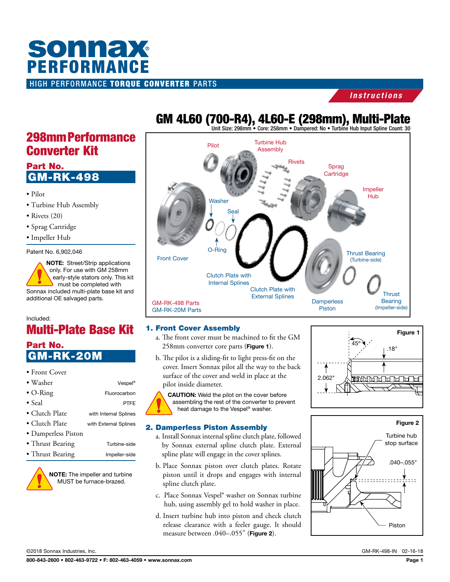# HIGH PERFORMANCE TORQUE CONVERTER PARTS **SONNAX**<br>PERFORMANCE

#### *Instructions*

### 298mm Performance Converter Kit

#### Part No. GM-RK-498

- Pilot
- Turbine Hub Assembly
- Rivets (20)
- Sprag Cartridge
- Impeller Hub

Patent No. 6,902,046

NOTE: Street/Strip applications only. For use with GM 258mm early-style stators only. This kit must be completed with Sonnax included multi-plate base kit and additional OE salvaged parts.

#### Included:

### Multi-Plate Base Kit Part No.

GM-RK-20M

#### • Front Cover

| $\bullet$ Washer       | Vespel <sup>®</sup>   |
|------------------------|-----------------------|
| $\bullet$ O-Ring       | Fluorocarbon          |
| $\bullet$ Seal         | PTFF                  |
| $\bullet$ Clutch Plate | with Internal Splines |
| • Clutch Plate         | with External Splines |
| • Damperless Piston    |                       |
| • Thrust Bearing       | Turbine-side          |
| • Thrust Bearing       | Impeller-side         |



NOTE: The impeller and turbine MUST be furnace-brazed.

### GM 4L60 (700-R4), 4L60-E (298mm), Multi-Plate Unit Size: 298mm • Core: 258mm • Dampered: No • Turbine Hub Input Spline Count: 30



#### 1. Front Cover Assembly

- a. The front cover must be machined to fit the GM 258mm converter core parts (Figure 1).
- b. The pilot is a sliding-fit to light press-fit on the cover. Insert Sonnax pilot all the way to the back surface of the cover and weld in place at the pilot inside diameter.

CAUTION: Weld the pilot on the cover before assembling the rest of the converter to prevent heat damage to the Vespel® washer.

#### 2. Damperless Piston Assembly

- a. Install Sonnax internal spline clutch plate, followed by Sonnax external spline clutch plate. External spline plate will engage in the cover splines.
- b. Place Sonnax piston over clutch plates. Rotate piston until it drops and engages with internal spline clutch plate.
- c. Place Sonnax Vespel® washer on Sonnax turbine hub, using assembly gel to hold washer in place.
- d. Insert turbine hub into piston and check clutch release clearance with a feeler gauge. It should measure between .040-.055" (Figure 2).





©2018 Sonnax Industries, Inc. GM-RK-498-IN 02-16-18